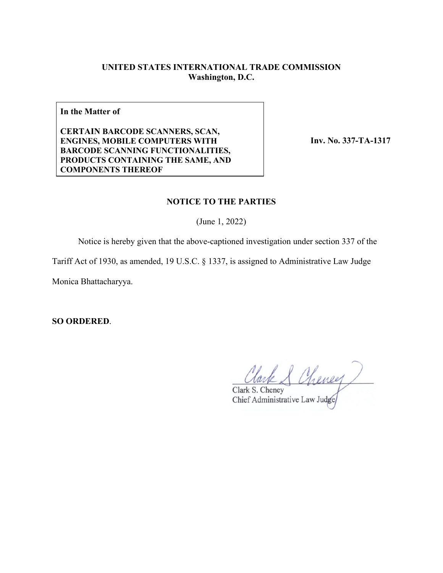## **UNITED STATES INTERNATIONAL TRADE COMMISSION Washington, D.C.**

**In the Matter of**

**CERTAIN BARCODE SCANNERS, SCAN, ENGINES, MOBILE COMPUTERS WITH BARCODE SCANNING FUNCTIONALITIES, PRODUCTS CONTAINING THE SAME, AND COMPONENTS THEREOF**

**Inv. No. 337-TA-1317**

### **NOTICE TO THE PARTIES**

(June 1, 2022)

Notice is hereby given that the above-captioned investigation under section 337 of the

Tariff Act of 1930, as amended, 19 U.S.C. § 1337, is assigned to Administrative Law Judge

Monica Bhattacharyya.

**SO ORDERED**.

Clark S Cheney